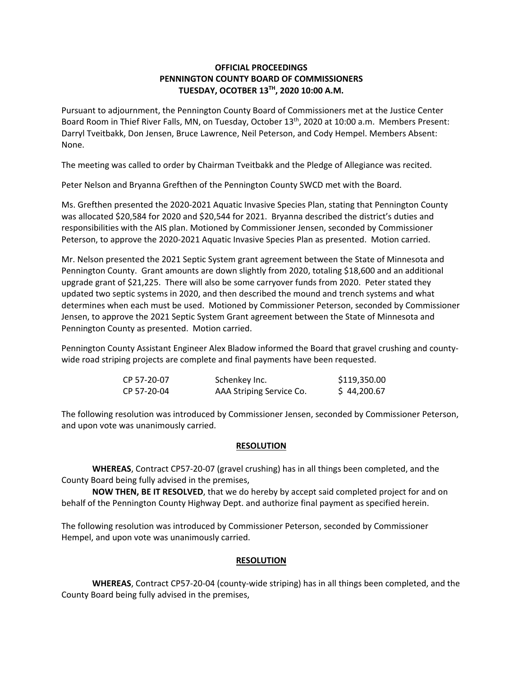# **OFFICIAL PROCEEDINGS PENNINGTON COUNTY BOARD OF COMMISSIONERS TUESDAY, OCOTBER 13TH, 2020 10:00 A.M.**

Pursuant to adjournment, the Pennington County Board of Commissioners met at the Justice Center Board Room in Thief River Falls, MN, on Tuesday, October 13<sup>th</sup>, 2020 at 10:00 a.m. Members Present: Darryl Tveitbakk, Don Jensen, Bruce Lawrence, Neil Peterson, and Cody Hempel. Members Absent: None.

The meeting was called to order by Chairman Tveitbakk and the Pledge of Allegiance was recited.

Peter Nelson and Bryanna Grefthen of the Pennington County SWCD met with the Board.

Ms. Grefthen presented the 2020‐2021 Aquatic Invasive Species Plan, stating that Pennington County was allocated \$20,584 for 2020 and \$20,544 for 2021. Bryanna described the district's duties and responsibilities with the AIS plan. Motioned by Commissioner Jensen, seconded by Commissioner Peterson, to approve the 2020‐2021 Aquatic Invasive Species Plan as presented. Motion carried.

Mr. Nelson presented the 2021 Septic System grant agreement between the State of Minnesota and Pennington County. Grant amounts are down slightly from 2020, totaling \$18,600 and an additional upgrade grant of \$21,225. There will also be some carryover funds from 2020. Peter stated they updated two septic systems in 2020, and then described the mound and trench systems and what determines when each must be used. Motioned by Commissioner Peterson, seconded by Commissioner Jensen, to approve the 2021 Septic System Grant agreement between the State of Minnesota and Pennington County as presented. Motion carried.

Pennington County Assistant Engineer Alex Bladow informed the Board that gravel crushing and county‐ wide road striping projects are complete and final payments have been requested.

| CP 57-20-07 | Schenkey Inc.            | \$119,350.00 |
|-------------|--------------------------|--------------|
| CP 57-20-04 | AAA Striping Service Co. | \$44,200.67  |

The following resolution was introduced by Commissioner Jensen, seconded by Commissioner Peterson, and upon vote was unanimously carried.

## **RESOLUTION**

**WHEREAS**, Contract CP57‐20‐07 (gravel crushing) has in all things been completed, and the County Board being fully advised in the premises,

**NOW THEN, BE IT RESOLVED**, that we do hereby by accept said completed project for and on behalf of the Pennington County Highway Dept. and authorize final payment as specified herein.

The following resolution was introduced by Commissioner Peterson, seconded by Commissioner Hempel, and upon vote was unanimously carried.

## **RESOLUTION**

**WHEREAS**, Contract CP57‐20‐04 (county‐wide striping) has in all things been completed, and the County Board being fully advised in the premises,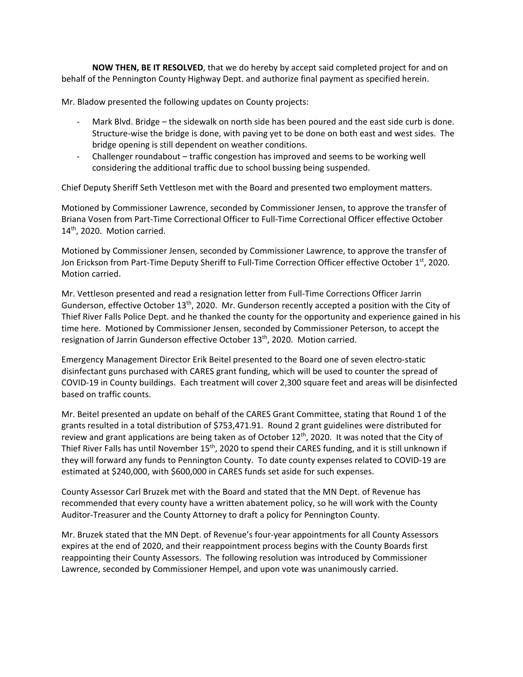**NOW THEN, BE IT RESOLVED**, that we do hereby by accept said completed project for and on behalf of the Pennington County Highway Dept. and authorize final payment as specified herein.

Mr. Bladow presented the following updates on County projects:

- Mark Blvd. Bridge the sidewalk on north side has been poured and the east side curb is done. Structure‐wise the bridge is done, with paving yet to be done on both east and west sides. The bridge opening is still dependent on weather conditions.
- ‐ Challenger roundabout traffic congestion has improved and seems to be working well considering the additional traffic due to school bussing being suspended.

Chief Deputy Sheriff Seth Vettleson met with the Board and presented two employment matters.

Motioned by Commissioner Lawrence, seconded by Commissioner Jensen, to approve the transfer of Briana Vosen from Part‐Time Correctional Officer to Full‐Time Correctional Officer effective October 14<sup>th</sup>, 2020. Motion carried.

Motioned by Commissioner Jensen, seconded by Commissioner Lawrence, to approve the transfer of Jon Erickson from Part-Time Deputy Sheriff to Full-Time Correction Officer effective October 1st, 2020. Motion carried.

Mr. Vettleson presented and read a resignation letter from Full‐Time Corrections Officer Jarrin Gunderson, effective October 13<sup>th</sup>, 2020. Mr. Gunderson recently accepted a position with the City of Thief River Falls Police Dept. and he thanked the county for the opportunity and experience gained in his time here. Motioned by Commissioner Jensen, seconded by Commissioner Peterson, to accept the resignation of Jarrin Gunderson effective October 13<sup>th</sup>, 2020. Motion carried.

Emergency Management Director Erik Beitel presented to the Board one of seven electro‐static disinfectant guns purchased with CARES grant funding, which will be used to counter the spread of COVID‐19 in County buildings. Each treatment will cover 2,300 square feet and areas will be disinfected based on traffic counts.

Mr. Beitel presented an update on behalf of the CARES Grant Committee, stating that Round 1 of the grants resulted in a total distribution of \$753,471.91. Round 2 grant guidelines were distributed for review and grant applications are being taken as of October 12<sup>th</sup>, 2020. It was noted that the City of Thief River Falls has until November 15<sup>th</sup>, 2020 to spend their CARES funding, and it is still unknown if they will forward any funds to Pennington County. To date county expenses related to COVID‐19 are estimated at \$240,000, with \$600,000 in CARES funds set aside for such expenses.

County Assessor Carl Bruzek met with the Board and stated that the MN Dept. of Revenue has recommended that every county have a written abatement policy, so he will work with the County Auditor‐Treasurer and the County Attorney to draft a policy for Pennington County.

Mr. Bruzek stated that the MN Dept. of Revenue's four‐year appointments for all County Assessors expires at the end of 2020, and their reappointment process begins with the County Boards first reappointing their County Assessors. The following resolution was introduced by Commissioner Lawrence, seconded by Commissioner Hempel, and upon vote was unanimously carried.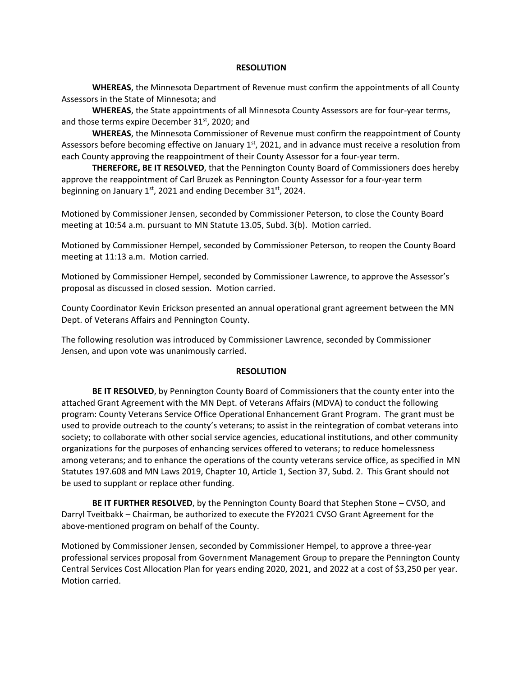#### **RESOLUTION**

**WHEREAS**, the Minnesota Department of Revenue must confirm the appointments of all County Assessors in the State of Minnesota; and

**WHEREAS**, the State appointments of all Minnesota County Assessors are for four‐year terms, and those terms expire December 31<sup>st</sup>, 2020; and

**WHEREAS**, the Minnesota Commissioner of Revenue must confirm the reappointment of County Assessors before becoming effective on January  $1<sup>st</sup>$ , 2021, and in advance must receive a resolution from each County approving the reappointment of their County Assessor for a four‐year term.

 **THEREFORE, BE IT RESOLVED**, that the Pennington County Board of Commissioners does hereby approve the reappointment of Carl Bruzek as Pennington County Assessor for a four‐year term beginning on January  $1<sup>st</sup>$ , 2021 and ending December 31 $<sup>st</sup>$ , 2024.</sup>

Motioned by Commissioner Jensen, seconded by Commissioner Peterson, to close the County Board meeting at 10:54 a.m. pursuant to MN Statute 13.05, Subd. 3(b). Motion carried.

Motioned by Commissioner Hempel, seconded by Commissioner Peterson, to reopen the County Board meeting at 11:13 a.m. Motion carried.

Motioned by Commissioner Hempel, seconded by Commissioner Lawrence, to approve the Assessor's proposal as discussed in closed session. Motion carried.

County Coordinator Kevin Erickson presented an annual operational grant agreement between the MN Dept. of Veterans Affairs and Pennington County.

The following resolution was introduced by Commissioner Lawrence, seconded by Commissioner Jensen, and upon vote was unanimously carried.

#### **RESOLUTION**

**BE IT RESOLVED**, by Pennington County Board of Commissioners that the county enter into the attached Grant Agreement with the MN Dept. of Veterans Affairs (MDVA) to conduct the following program: County Veterans Service Office Operational Enhancement Grant Program. The grant must be used to provide outreach to the county's veterans; to assist in the reintegration of combat veterans into society; to collaborate with other social service agencies, educational institutions, and other community organizations for the purposes of enhancing services offered to veterans; to reduce homelessness among veterans; and to enhance the operations of the county veterans service office, as specified in MN Statutes 197.608 and MN Laws 2019, Chapter 10, Article 1, Section 37, Subd. 2. This Grant should not be used to supplant or replace other funding.

**BE IT FURTHER RESOLVED**, by the Pennington County Board that Stephen Stone – CVSO, and Darryl Tveitbakk – Chairman, be authorized to execute the FY2021 CVSO Grant Agreement for the above‐mentioned program on behalf of the County.

Motioned by Commissioner Jensen, seconded by Commissioner Hempel, to approve a three‐year professional services proposal from Government Management Group to prepare the Pennington County Central Services Cost Allocation Plan for years ending 2020, 2021, and 2022 at a cost of \$3,250 per year. Motion carried.